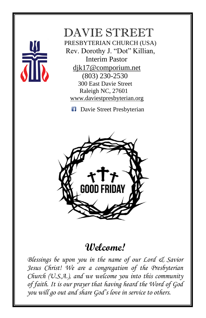

## DAVIE STREET

 PRESBYTERIAN CHURCH (USA) Rev. Dorothy J. "Dot" Killian, Interim Pastor [djk17@comporium.net](mailto:djk17@comporium.net) (803) 230-2530 300 East Davie Street Raleigh NC, 27601 [www.daviestpresbyterian.org](http://www.daviestpresbyterian.org/)

**Davie Street Presbyterian** 



## **Welcome!**

*Blessings be upon you in the name of our Lord & Savior Jesus Christ! We are a congregation of the Presbyterian Church (U.S.A.), and we welcome you into this community of faith. It is our prayer that having heard the Word of God you will go out and share God's love in service to others.*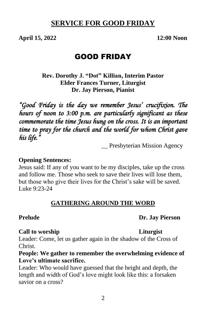### **SERVICE FOR GOOD FRIDAY**

**April 15, 2022 12:00 Noon**

### GOOD FRIDAY

**Rev. Dorothy J. "Dot" Killian, Interim Pastor Elder Frances Turner, Liturgist Dr. Jay Pierson, Pianist**

*"Good Friday is the day we remember Jesus' crucifixion. The hours of noon to 3:00 p.m. are particularly significant as these commemorate the time Jesus hung on the cross. It is an important time to pray for the church and the world for whom Christ gave his life."* 

\_\_ Presbyterian Mission Agency

#### **Opening Sentences:**

Jesus said: If any of you want to be my disciples, take up the cross and follow me. Those who seek to save their lives will lose them, but those who give their lives for the Christ's sake will be saved. Luke 9:23-24

#### **GATHERING AROUND THE WORD**

#### **Prelude Dr. Jay Pierson**

#### **Call to worship Liturgist**

Leader: Come, let us gather again in the shadow of the Cross of Christ.

#### **People: We gather to remember the overwhelming evidence of Love's ultimate sacrifice.**

Leader: Who would have guessed that the height and depth, the length and width of God's love might look like this: a forsaken savior on a cross?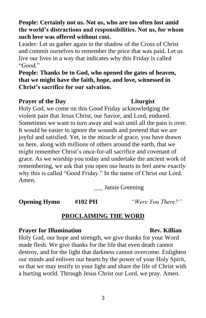**People: Certainly not us. Not us, who are too often lost amid the world's distractions and responsibilities. Not us, for whom such love was offered without cost.** 

Leader: Let us gather again in the shadow of the Cross of Christ and commit ourselves to remember the price that was paid. Let us live our lives in a way that indicates why this Friday is called "Good."

**People: Thanks be to God, who opened the gates of heaven, that we might have the faith, hope, and love, witnessed in Christ's sacrifice for our salvation.**

#### **Prayer of the Day Liturgist**

Holy God, we come on this Good Friday acknowledging the violent pain that Jesus Christ, our Savior, and Lord, endured. Sometimes we want to turn away and wait until all the pain is over. It would be easier to ignore the wounds and pretend that we are joyful and satisfied. Yet, in the miracle of grace, you have drawn us here, along with millions of others around the earth, that we might remember Christ's once-for-all sacrifice and covenant of grace. As we worship you today and undertake the ancient work of remembering, we ask that you open our hearts to feel anew exactly why this is called "Good Friday." In the name of Christ our Lord. Amen.

\_\_\_ Jamie Greening

**Opening Hymn #102 PH** *"Were You There?"*

#### **PROCLAIMING THE WORD**

#### **Prayer for Illumination Rev. Killian**

Holy God, our hope and strength, we give thanks for your Word made flesh. We give thanks for the life that even death cannot destroy, and for the light that darkness cannot overcome. Enlighten our minds and enliven our hearts by the power of your Holy Spirit, so that we may testify to your light and share the life of Christ with a hurting world. Through Jesus Christ our Lord, we pray. Amen.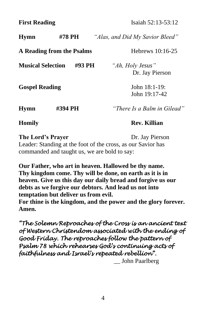**First Reading** Isaiah 52:13-53:12

| <b>Hymn</b>               | #78 PH  | "Alas, and Did My Savior Bleed"     |
|---------------------------|---------|-------------------------------------|
| A Reading from the Psalms |         | Hebrews 10:16-25                    |
| <b>Musical Selection</b>  | #93 PH  | "Ah, Holy Jesus"<br>Dr. Jay Pierson |
| <b>Gospel Reading</b>     |         | John $18:1-19$ :<br>John 19:17-42   |
| <b>Hymn</b>               | #394 PH | "There Is a Balm in Gilead"         |
| <b>Homily</b>             |         | <b>Rev. Killian</b>                 |
| The Lord's Drover         |         | $\mathbf{D}$ r Lav Digreon          |

**The Lord's Prayer** Dr. Jay Pierson Leader: Standing at the foot of the cross, as our Savior has commanded and taught us, we are bold to say:

**Our Father, who art in heaven. Hallowed be thy name. Thy kingdom come. Thy will be done, on earth as it is in heaven. Give us this day our daily bread and forgive us our debts as we forgive our debtors. And lead us not into temptation but deliver us from evil.** 

**For thine is the kingdom, and the power and the glory forever. Amen.**

*"The Solemn Reproaches of the Cross is an ancient text of Western Christendom associated with the ending of Good Friday. The reproaches follow the pattern of Psalm 78 which rehearses God's continuing acts of faithfulness and Israel's repeated rebellion".* 

\_\_ John Paarlberg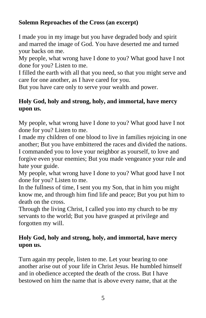### **Solemn Reproaches of the Cross (an excerpt)**

I made you in my image but you have degraded body and spirit and marred the image of God. You have deserted me and turned your backs on me.

My people, what wrong have I done to you? What good have I not done for you? Listen to me.

I filled the earth with all that you need, so that you might serve and care for one another, as I have cared for you.

But you have care only to serve your wealth and power.

### **Holy God, holy and strong, holy, and immortal, have mercy upon us.**

My people, what wrong have I done to you? What good have I not done for you? Listen to me.

I made my children of one blood to live in families rejoicing in one another; But you have embittered the races and divided the nations. I commanded you to love your neighbor as yourself, to love and

forgive even your enemies; But you made vengeance your rule and hate your guide.

My people, what wrong have I done to you? What good have I not done for you? Listen to me.

In the fullness of time, I sent you my Son, that in him you might know me, and through him find life and peace; But you put him to death on the cross.

Through the living Christ, I called you into my church to be my servants to the world; But you have grasped at privilege and forgotten my will.

### **Holy God, holy and strong, holy, and immortal, have mercy upon us.**

Turn again my people, listen to me. Let your bearing to one another arise out of your life in Christ Jesus. He humbled himself and in obedience accepted the death of the cross. But I have bestowed on him the name that is above every name, that at the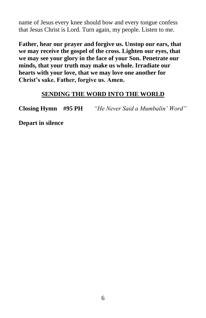name of Jesus every knee should bow and every tongue confess that Jesus Christ is Lord. Turn again, my people. Listen to me.

**Father, hear our prayer and forgive us. Unstop our ears, that we may receive the gospel of the cross. Lighten our eyes, that we may see your glory in the face of your Son. Penetrate our minds, that your truth may make us whole. Irradiate our hearts with your love, that we may love one another for Christ's sake. Father, forgive us. Amen.**

#### **SENDING THE WORD INTO THE WORLD**

**Closing Hymn #95 PH** *"He Never Said a Mumbalin' Word"*

**Depart in silence**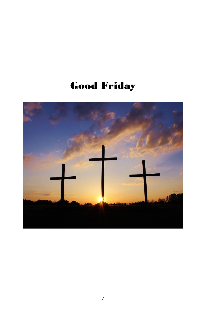# Good Friday